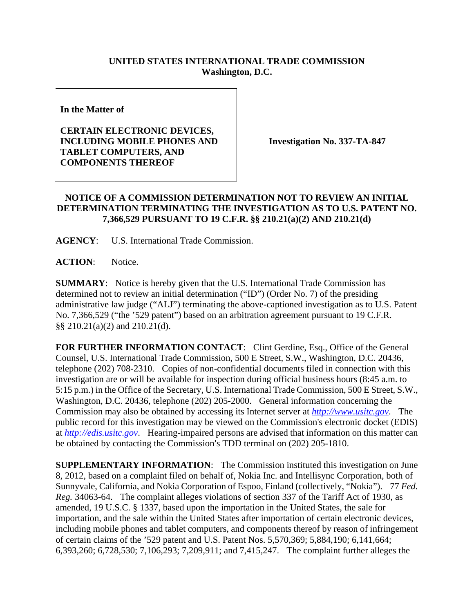## **UNITED STATES INTERNATIONAL TRADE COMMISSION Washington, D.C.**

**In the Matter of** 

## **CERTAIN ELECTRONIC DEVICES, INCLUDING MOBILE PHONES AND TABLET COMPUTERS, AND COMPONENTS THEREOF**

**Investigation No. 337-TA-847** 

## **NOTICE OF A COMMISSION DETERMINATION NOT TO REVIEW AN INITIAL DETERMINATION TERMINATING THE INVESTIGATION AS TO U.S. PATENT NO. 7,366,529 PURSUANT TO 19 C.F.R. §§ 210.21(a)(2) AND 210.21(d)**

**AGENCY**: U.S. International Trade Commission.

**ACTION**: Notice.

**SUMMARY**: Notice is hereby given that the U.S. International Trade Commission has determined not to review an initial determination ("ID") (Order No. 7) of the presiding administrative law judge ("ALJ") terminating the above-captioned investigation as to U.S. Patent No. 7,366,529 ("the '529 patent") based on an arbitration agreement pursuant to 19 C.F.R. §§ 210.21(a)(2) and 210.21(d).

**FOR FURTHER INFORMATION CONTACT:** Clint Gerdine, Esq., Office of the General Counsel, U.S. International Trade Commission, 500 E Street, S.W., Washington, D.C. 20436, telephone (202) 708-2310. Copies of non-confidential documents filed in connection with this investigation are or will be available for inspection during official business hours (8:45 a.m. to 5:15 p.m.) in the Office of the Secretary, U.S. International Trade Commission, 500 E Street, S.W., Washington, D.C. 20436, telephone (202) 205-2000. General information concerning the Commission may also be obtained by accessing its Internet server at *http://www.usitc.gov*. The public record for this investigation may be viewed on the Commission's electronic docket (EDIS) at *http://edis.usitc.gov*. Hearing-impaired persons are advised that information on this matter can be obtained by contacting the Commission's TDD terminal on (202) 205-1810.

**SUPPLEMENTARY INFORMATION**: The Commission instituted this investigation on June 8, 2012, based on a complaint filed on behalf of, Nokia Inc. and Intellisync Corporation, both of Sunnyvale, California, and Nokia Corporation of Espoo, Finland (collectively, "Nokia"). 77 *Fed. Reg.* 34063-64. The complaint alleges violations of section 337 of the Tariff Act of 1930, as amended, 19 U.S.C. § 1337, based upon the importation in the United States, the sale for importation, and the sale within the United States after importation of certain electronic devices, including mobile phones and tablet computers, and components thereof by reason of infringement of certain claims of the '529 patent and U.S. Patent Nos. 5,570,369; 5,884,190; 6,141,664; 6,393,260; 6,728,530; 7,106,293; 7,209,911; and 7,415,247. The complaint further alleges the